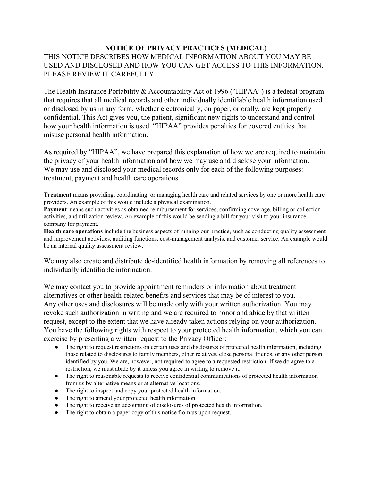## **NOTICE OF PRIVACY PRACTICES (MEDICAL)**

## THIS NOTICE DESCRIBES HOW MEDICAL INFORMATION ABOUT YOU MAY BE USED AND DISCLOSED AND HOW YOU CAN GET ACCESS TO THIS INFORMATION. PLEASE REVIEW IT CAREFULLY.

The Health Insurance Portability & Accountability Act of 1996 ("HIPAA") is a federal program that requires that all medical records and other individually identifiable health information used or disclosed by us in any form, whether electronically, on paper, or orally, are kept properly confidential. This Act gives you, the patient, significant new rights to understand and control how your health information is used. "HIPAA" provides penalties for covered entities that misuse personal health information.

As required by "HIPAA", we have prepared this explanation of how we are required to maintain the privacy of your health information and how we may use and disclose your information. We may use and disclosed your medical records only for each of the following purposes: treatment, payment and health care operations.

**Treatment** means providing, coordinating, or managing health care and related services by one or more health care providers. An example of this would include a physical examination.

**Payment** means such activities as obtained reimbursement for services, confirming coverage, billing or collection activities, and utilization review. An example of this would be sending a bill for your visit to your insurance company for payment.

**Health care operations** include the business aspects of running our practice, such as conducting quality assessment and improvement activities, auditing functions, cost-management analysis, and customer service. An example would be an internal quality assessment review.

We may also create and distribute de-identified health information by removing all references to individually identifiable information.

We may contact you to provide appointment reminders or information about treatment alternatives or other health-related benefits and services that may be of interest to you. Any other uses and disclosures will be made only with your written authorization. You may revoke such authorization in writing and we are required to honor and abide by that written request, except to the extent that we have already taken actions relying on your authorization. You have the following rights with respect to your protected health information, which you can exercise by presenting a written request to the Privacy Officer:

- The right to request restrictions on certain uses and disclosures of protected health information, including those related to disclosures to family members, other relatives, close personal friends, or any other person identified by you. We are, however, not required to agree to a requested restriction. If we do agree to a restriction, we must abide by it unless you agree in writing to remove it.
- The right to reasonable requests to receive confidential communications of protected health information from us by alternative means or at alternative locations.
- The right to inspect and copy your protected health information.
- The right to amend your protected health information.
- The right to receive an accounting of disclosures of protected health information.
- The right to obtain a paper copy of this notice from us upon request.